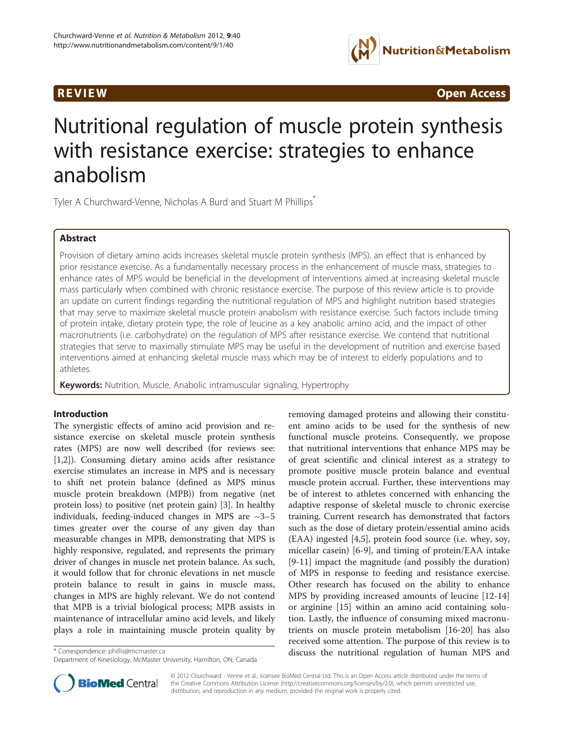

**REVIEW CONSTRUCTION CONSTRUCTION CONSTRUCTS** 

# Nutritional regulation of muscle protein synthesis with resistance exercise: strategies to enhance anabolism

Tyler A Churchward-Venne, Nicholas A Burd and Stuart M Phillips<sup>\*</sup>

# Abstract

Provision of dietary amino acids increases skeletal muscle protein synthesis (MPS), an effect that is enhanced by prior resistance exercise. As a fundamentally necessary process in the enhancement of muscle mass, strategies to enhance rates of MPS would be beneficial in the development of interventions aimed at increasing skeletal muscle mass particularly when combined with chronic resistance exercise. The purpose of this review article is to provide an update on current findings regarding the nutritional regulation of MPS and highlight nutrition based strategies that may serve to maximize skeletal muscle protein anabolism with resistance exercise. Such factors include timing of protein intake, dietary protein type, the role of leucine as a key anabolic amino acid, and the impact of other macronutrients (i.e. carbohydrate) on the regulation of MPS after resistance exercise. We contend that nutritional strategies that serve to maximally stimulate MPS may be useful in the development of nutrition and exercise based interventions aimed at enhancing skeletal muscle mass which may be of interest to elderly populations and to athletes.

**Keywords:** Nutrition, Muscle, Anabolic intramuscular signaling, Hypertrophy

# Introduction

The synergistic effects of amino acid provision and resistance exercise on skeletal muscle protein synthesis rates (MPS) are now well described (for reviews see: [[1,2\]](#page-5-0)). Consuming dietary amino acids after resistance exercise stimulates an increase in MPS and is necessary to shift net protein balance (defined as MPS minus muscle protein breakdown (MPB)) from negative (net protein loss) to positive (net protein gain) [[3\]](#page-5-0). In healthy individuals, feeding-induced changes in MPS are ~3–5 times greater over the course of any given day than measurable changes in MPB, demonstrating that MPS is highly responsive, regulated, and represents the primary driver of changes in muscle net protein balance. As such, it would follow that for chronic elevations in net muscle protein balance to result in gains in muscle mass, changes in MPS are highly relevant. We do not contend that MPB is a trivial biological process; MPB assists in maintenance of intracellular amino acid levels, and likely plays a role in maintaining muscle protein quality by

removing damaged proteins and allowing their constituent amino acids to be used for the synthesis of new functional muscle proteins. Consequently, we propose that nutritional interventions that enhance MPS may be of great scientific and clinical interest as a strategy to promote positive muscle protein balance and eventual muscle protein accrual. Further, these interventions may be of interest to athletes concerned with enhancing the adaptive response of skeletal muscle to chronic exercise training. Current research has demonstrated that factors such as the dose of dietary protein/essential amino acids (EAA) ingested [\[4,5](#page-5-0)], protein food source (i.e. whey, soy, micellar casein) [[6-9](#page-5-0)], and timing of protein/EAA intake [[9-11](#page-5-0)] impact the magnitude (and possibly the duration) of MPS in response to feeding and resistance exercise. Other research has focused on the ability to enhance MPS by providing increased amounts of leucine [\[12](#page-5-0)-[14](#page-5-0)] or arginine [\[15](#page-5-0)] within an amino acid containing solution. Lastly, the influence of consuming mixed macronutrients on muscle protein metabolism [\[16](#page-5-0)-[20\]](#page-5-0) has also received some attention. The purpose of this review is to \* Correspondence: [phillis@mcmaster.ca](mailto:phillis@mcmaster.ca) discuss the nutritional regulation of human MPS and Department of Kinesiology, McMaster University, Hamilton, ON, Canada



© 2012 Churchward - Venne et al.; licensee BioMed Central Ltd. This is an Open Access article distributed under the terms of the Creative Commons Attribution License [\(http://creativecommons.org/licenses/by/2.0\)](http://creativecommons.org/licenses/by/2.0), which permits unrestricted use, distribution, and reproduction in any medium, provided the original work is properly cited.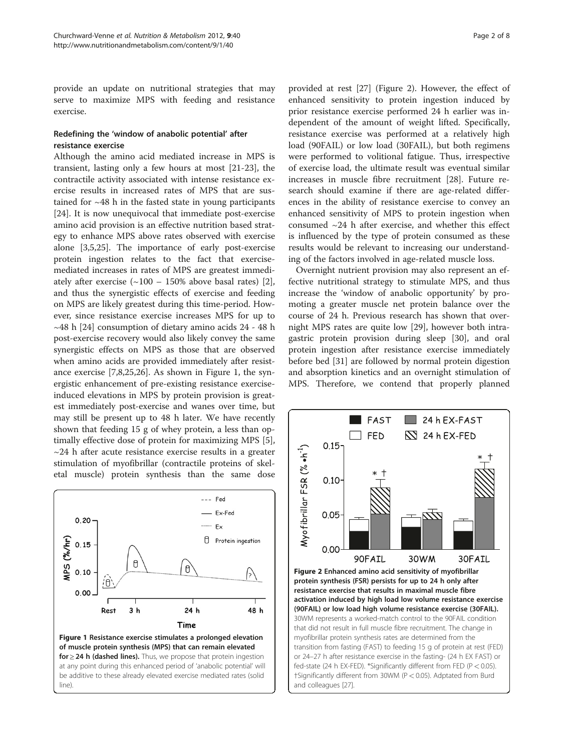provide an update on nutritional strategies that may serve to maximize MPS with feeding and resistance exercise.

# Redefining the 'window of anabolic potential' after resistance exercise

Although the amino acid mediated increase in MPS is transient, lasting only a few hours at most [[21-23](#page-6-0)], the contractile activity associated with intense resistance exercise results in increased rates of MPS that are sustained for  $~18$  h in the fasted state in young participants [[24\]](#page-6-0). It is now unequivocal that immediate post-exercise amino acid provision is an effective nutrition based strategy to enhance MPS above rates observed with exercise alone [[3,5,](#page-5-0)[25\]](#page-6-0). The importance of early post-exercise protein ingestion relates to the fact that exercisemediated increases in rates of MPS are greatest immediately after exercise  $(\sim 100 - 150\%$  above basal rates) [\[2](#page-5-0)], and thus the synergistic effects of exercise and feeding on MPS are likely greatest during this time-period. However, since resistance exercise increases MPS for up to  $\sim$ 48 h [\[24\]](#page-6-0) consumption of dietary amino acids 24 - 48 h post-exercise recovery would also likely convey the same synergistic effects on MPS as those that are observed when amino acids are provided immediately after resistance exercise [[7,8,](#page-5-0)[25,26\]](#page-6-0). As shown in Figure 1, the synergistic enhancement of pre-existing resistance exerciseinduced elevations in MPS by protein provision is greatest immediately post-exercise and wanes over time, but may still be present up to 48 h later. We have recently shown that feeding 15 g of whey protein, a less than optimally effective dose of protein for maximizing MPS [\[5](#page-5-0)],  $\sim$ 24 h after acute resistance exercise results in a greater stimulation of myofibrillar (contractile proteins of skeletal muscle) protein synthesis than the same dose



provided at rest [\[27](#page-6-0)] (Figure 2). However, the effect of enhanced sensitivity to protein ingestion induced by prior resistance exercise performed 24 h earlier was independent of the amount of weight lifted. Specifically, resistance exercise was performed at a relatively high load (90FAIL) or low load (30FAIL), but both regimens were performed to volitional fatigue. Thus, irrespective of exercise load, the ultimate result was eventual similar increases in muscle fibre recruitment [\[28](#page-6-0)]. Future research should examine if there are age-related differences in the ability of resistance exercise to convey an enhanced sensitivity of MPS to protein ingestion when consumed ~24 h after exercise, and whether this effect is influenced by the type of protein consumed as these results would be relevant to increasing our understanding of the factors involved in age-related muscle loss.

Overnight nutrient provision may also represent an effective nutritional strategy to stimulate MPS, and thus increase the 'window of anabolic opportunity' by promoting a greater muscle net protein balance over the course of 24 h. Previous research has shown that overnight MPS rates are quite low [[29\]](#page-6-0), however both intragastric protein provision during sleep [\[30](#page-6-0)], and oral protein ingestion after resistance exercise immediately before bed [\[31](#page-6-0)] are followed by normal protein digestion and absorption kinetics and an overnight stimulation of MPS. Therefore, we contend that properly planned

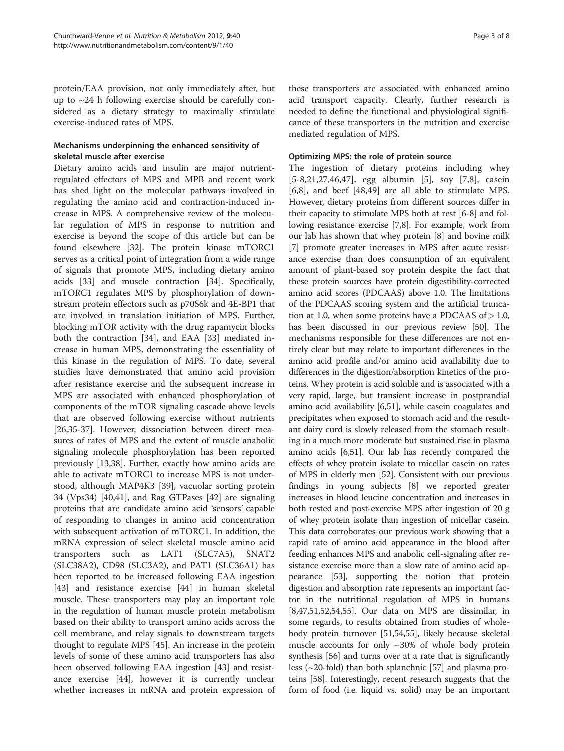protein/EAA provision, not only immediately after, but up to  $\sim$ 24 h following exercise should be carefully considered as a dietary strategy to maximally stimulate exercise-induced rates of MPS.

# Mechanisms underpinning the enhanced sensitivity of skeletal muscle after exercise

Dietary amino acids and insulin are major nutrientregulated effectors of MPS and MPB and recent work has shed light on the molecular pathways involved in regulating the amino acid and contraction-induced increase in MPS. A comprehensive review of the molecular regulation of MPS in response to nutrition and exercise is beyond the scope of this article but can be found elsewhere [\[32\]](#page-6-0). The protein kinase mTORC1 serves as a critical point of integration from a wide range of signals that promote MPS, including dietary amino acids [\[33\]](#page-6-0) and muscle contraction [\[34\]](#page-6-0). Specifically, mTORC1 regulates MPS by phosphorylation of downstream protein effectors such as p70S6k and 4E-BP1 that are involved in translation initiation of MPS. Further, blocking mTOR activity with the drug rapamycin blocks both the contraction [\[34](#page-6-0)], and EAA [\[33](#page-6-0)] mediated increase in human MPS, demonstrating the essentiality of this kinase in the regulation of MPS. To date, several studies have demonstrated that amino acid provision after resistance exercise and the subsequent increase in MPS are associated with enhanced phosphorylation of components of the mTOR signaling cascade above levels that are observed following exercise without nutrients [[26,35-37\]](#page-6-0). However, dissociation between direct measures of rates of MPS and the extent of muscle anabolic signaling molecule phosphorylation has been reported previously [\[13](#page-5-0)[,38](#page-6-0)]. Further, exactly how amino acids are able to activate mTORC1 to increase MPS is not understood, although MAP4K3 [[39\]](#page-6-0), vacuolar sorting protein 34 (Vps34) [[40,41](#page-6-0)], and Rag GTPases [\[42](#page-6-0)] are signaling proteins that are candidate amino acid 'sensors' capable of responding to changes in amino acid concentration with subsequent activation of mTORC1. In addition, the mRNA expression of select skeletal muscle amino acid transporters such as LAT1 (SLC7A5), SNAT2 (SLC38A2), CD98 (SLC3A2), and PAT1 (SLC36A1) has been reported to be increased following EAA ingestion [[43\]](#page-6-0) and resistance exercise [\[44](#page-6-0)] in human skeletal muscle. These transporters may play an important role in the regulation of human muscle protein metabolism based on their ability to transport amino acids across the cell membrane, and relay signals to downstream targets thought to regulate MPS [[45](#page-6-0)]. An increase in the protein levels of some of these amino acid transporters has also been observed following EAA ingestion [[43\]](#page-6-0) and resistance exercise [\[44](#page-6-0)], however it is currently unclear whether increases in mRNA and protein expression of these transporters are associated with enhanced amino acid transport capacity. Clearly, further research is needed to define the functional and physiological significance of these transporters in the nutrition and exercise mediated regulation of MPS.

# Optimizing MPS: the role of protein source

The ingestion of dietary proteins including whey [[5-8,](#page-5-0)[21,27,46](#page-6-0),[47\]](#page-6-0), egg albumin [[5\]](#page-5-0), soy [[7,8\]](#page-5-0), casein [[6,8](#page-5-0)], and beef [[48,49](#page-6-0)] are all able to stimulate MPS. However, dietary proteins from different sources differ in their capacity to stimulate MPS both at rest [[6-8\]](#page-5-0) and following resistance exercise [\[7,8\]](#page-5-0). For example, work from our lab has shown that whey protein [\[8](#page-5-0)] and bovine milk [[7\]](#page-5-0) promote greater increases in MPS after acute resistance exercise than does consumption of an equivalent amount of plant-based soy protein despite the fact that these protein sources have protein digestibility-corrected amino acid scores (PDCAAS) above 1.0. The limitations of the PDCAAS scoring system and the artificial truncation at 1.0, when some proteins have a PDCAAS of  $> 1.0$ , has been discussed in our previous review [[50](#page-6-0)]. The mechanisms responsible for these differences are not entirely clear but may relate to important differences in the amino acid profile and/or amino acid availability due to differences in the digestion/absorption kinetics of the proteins. Whey protein is acid soluble and is associated with a very rapid, large, but transient increase in postprandial amino acid availability [\[6](#page-5-0)[,51\]](#page-6-0), while casein coagulates and precipitates when exposed to stomach acid and the resultant dairy curd is slowly released from the stomach resulting in a much more moderate but sustained rise in plasma amino acids [\[6](#page-5-0)[,51\]](#page-6-0). Our lab has recently compared the effects of whey protein isolate to micellar casein on rates of MPS in elderly men [\[52\]](#page-6-0). Consistent with our previous findings in young subjects [[8](#page-5-0)] we reported greater increases in blood leucine concentration and increases in both rested and post-exercise MPS after ingestion of 20 g of whey protein isolate than ingestion of micellar casein. This data corroborates our previous work showing that a rapid rate of amino acid appearance in the blood after feeding enhances MPS and anabolic cell-signaling after resistance exercise more than a slow rate of amino acid appearance [\[53\]](#page-6-0), supporting the notion that protein digestion and absorption rate represents an important factor in the nutritional regulation of MPS in humans [[8,](#page-5-0)[47,51,52,54,55](#page-6-0)]. Our data on MPS are dissimilar, in some regards, to results obtained from studies of wholebody protein turnover [[51,54,55\]](#page-6-0), likely because skeletal muscle accounts for only  $\sim$ 30% of whole body protein synthesis [[56](#page-6-0)] and turns over at a rate that is significantly less (~20-fold) than both splanchnic [[57](#page-6-0)] and plasma proteins [\[58\]](#page-7-0). Interestingly, recent research suggests that the form of food (i.e. liquid vs. solid) may be an important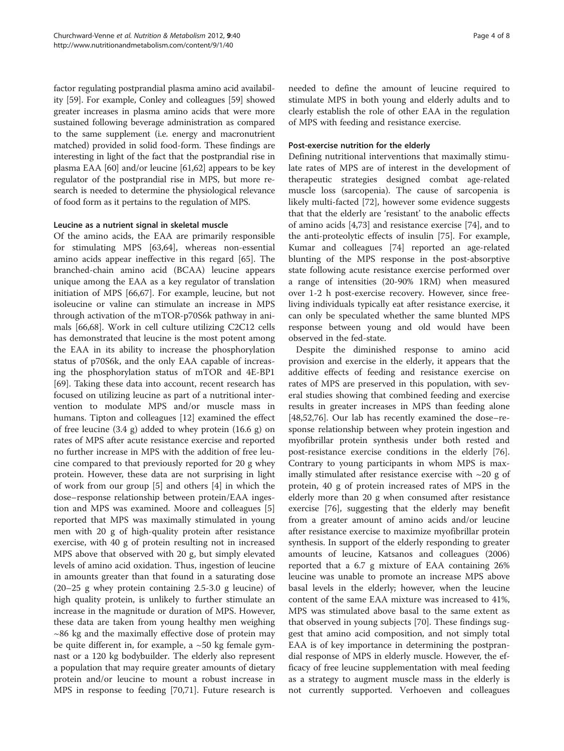factor regulating postprandial plasma amino acid availability [\[59\]](#page-7-0). For example, Conley and colleagues [\[59\]](#page-7-0) showed greater increases in plasma amino acids that were more sustained following beverage administration as compared to the same supplement (i.e. energy and macronutrient matched) provided in solid food-form. These findings are interesting in light of the fact that the postprandial rise in plasma EAA [\[60\]](#page-7-0) and/or leucine [\[61,62](#page-7-0)] appears to be key regulator of the postprandial rise in MPS, but more research is needed to determine the physiological relevance of food form as it pertains to the regulation of MPS.

# Leucine as a nutrient signal in skeletal muscle

Of the amino acids, the EAA are primarily responsible for stimulating MPS [[63,64](#page-7-0)], whereas non-essential amino acids appear ineffective in this regard [[65\]](#page-7-0). The branched-chain amino acid (BCAA) leucine appears unique among the EAA as a key regulator of translation initiation of MPS [[66,67\]](#page-7-0). For example, leucine, but not isoleucine or valine can stimulate an increase in MPS through activation of the mTOR-p70S6k pathway in animals [[66,68](#page-7-0)]. Work in cell culture utilizing C2C12 cells has demonstrated that leucine is the most potent among the EAA in its ability to increase the phosphorylation status of p70S6k, and the only EAA capable of increasing the phosphorylation status of mTOR and 4E-BP1 [[69\]](#page-7-0). Taking these data into account, recent research has focused on utilizing leucine as part of a nutritional intervention to modulate MPS and/or muscle mass in humans. Tipton and colleagues [[12\]](#page-5-0) examined the effect of free leucine (3.4 g) added to whey protein (16.6 g) on rates of MPS after acute resistance exercise and reported no further increase in MPS with the addition of free leucine compared to that previously reported for 20 g whey protein. However, these data are not surprising in light of work from our group [\[5](#page-5-0)] and others [\[4](#page-5-0)] in which the dose–response relationship between protein/EAA ingestion and MPS was examined. Moore and colleagues [\[5](#page-5-0)] reported that MPS was maximally stimulated in young men with 20 g of high-quality protein after resistance exercise, with 40 g of protein resulting not in increased MPS above that observed with 20 g, but simply elevated levels of amino acid oxidation. Thus, ingestion of leucine in amounts greater than that found in a saturating dose (20–25 g whey protein containing 2.5-3.0 g leucine) of high quality protein, is unlikely to further stimulate an increase in the magnitude or duration of MPS. However, these data are taken from young healthy men weighing  $\sim$ 86 kg and the maximally effective dose of protein may be quite different in, for example, a  $~50$  kg female gymnast or a 120 kg bodybuilder. The elderly also represent a population that may require greater amounts of dietary protein and/or leucine to mount a robust increase in MPS in response to feeding [[70,71\]](#page-7-0). Future research is

needed to define the amount of leucine required to stimulate MPS in both young and elderly adults and to clearly establish the role of other EAA in the regulation of MPS with feeding and resistance exercise.

# Post-exercise nutrition for the elderly

Defining nutritional interventions that maximally stimulate rates of MPS are of interest in the development of therapeutic strategies designed combat age-related muscle loss (sarcopenia). The cause of sarcopenia is likely multi-facted [[72](#page-7-0)], however some evidence suggests that that the elderly are 'resistant' to the anabolic effects of amino acids [\[4](#page-5-0)[,73\]](#page-7-0) and resistance exercise [[74\]](#page-7-0), and to the anti-proteolytic effects of insulin [\[75](#page-7-0)]. For example, Kumar and colleagues [\[74](#page-7-0)] reported an age-related blunting of the MPS response in the post-absorptive state following acute resistance exercise performed over a range of intensities (20-90% 1RM) when measured over 1-2 h post-exercise recovery. However, since freeliving individuals typically eat after resistance exercise, it can only be speculated whether the same blunted MPS response between young and old would have been observed in the fed-state.

Despite the diminished response to amino acid provision and exercise in the elderly, it appears that the additive effects of feeding and resistance exercise on rates of MPS are preserved in this population, with several studies showing that combined feeding and exercise results in greater increases in MPS than feeding alone [[48,52,](#page-6-0)[76\]](#page-7-0). Our lab has recently examined the dose–response relationship between whey protein ingestion and myofibrillar protein synthesis under both rested and post-resistance exercise conditions in the elderly [\[76](#page-7-0)]. Contrary to young participants in whom MPS is maximally stimulated after resistance exercise with  $\sim$ 20 g of protein, 40 g of protein increased rates of MPS in the elderly more than 20 g when consumed after resistance exercise [[76\]](#page-7-0), suggesting that the elderly may benefit from a greater amount of amino acids and/or leucine after resistance exercise to maximize myofibrillar protein synthesis. In support of the elderly responding to greater amounts of leucine, Katsanos and colleagues (2006) reported that a 6.7 g mixture of EAA containing 26% leucine was unable to promote an increase MPS above basal levels in the elderly; however, when the leucine content of the same EAA mixture was increased to 41%, MPS was stimulated above basal to the same extent as that observed in young subjects [[70](#page-7-0)]. These findings suggest that amino acid composition, and not simply total EAA is of key importance in determining the postprandial response of MPS in elderly muscle. However, the efficacy of free leucine supplementation with meal feeding as a strategy to augment muscle mass in the elderly is not currently supported. Verhoeven and colleagues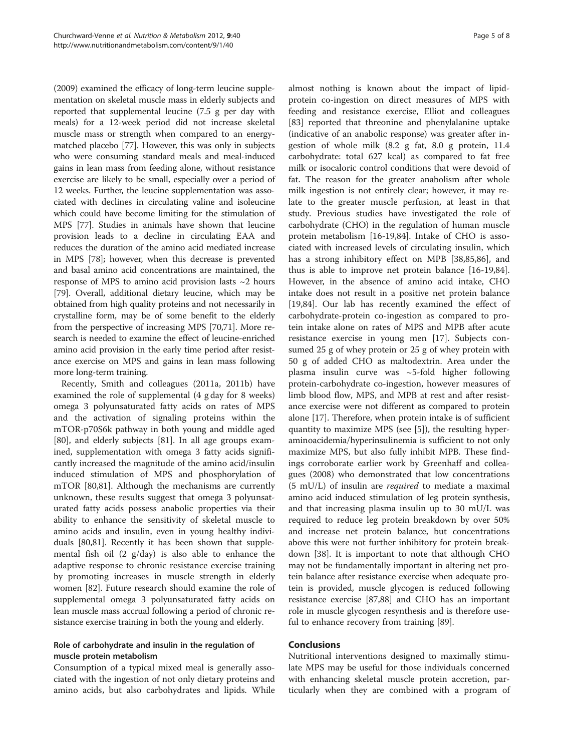(2009) examined the efficacy of long-term leucine supplementation on skeletal muscle mass in elderly subjects and reported that supplemental leucine (7.5 g per day with meals) for a 12-week period did not increase skeletal muscle mass or strength when compared to an energymatched placebo [[77](#page-7-0)]. However, this was only in subjects who were consuming standard meals and meal-induced gains in lean mass from feeding alone, without resistance exercise are likely to be small, especially over a period of 12 weeks. Further, the leucine supplementation was associated with declines in circulating valine and isoleucine which could have become limiting for the stimulation of MPS [\[77\]](#page-7-0). Studies in animals have shown that leucine provision leads to a decline in circulating EAA and reduces the duration of the amino acid mediated increase in MPS [\[78\]](#page-7-0); however, when this decrease is prevented and basal amino acid concentrations are maintained, the response of MPS to amino acid provision lasts ~2 hours [[79](#page-7-0)]. Overall, additional dietary leucine, which may be obtained from high quality proteins and not necessarily in crystalline form, may be of some benefit to the elderly from the perspective of increasing MPS [\[70,71](#page-7-0)]. More research is needed to examine the effect of leucine-enriched amino acid provision in the early time period after resistance exercise on MPS and gains in lean mass following more long-term training.

Recently, Smith and colleagues (2011a, 2011b) have examined the role of supplemental (4 g day for 8 weeks) omega 3 polyunsaturated fatty acids on rates of MPS and the activation of signaling proteins within the mTOR-p70S6k pathway in both young and middle aged [[80\]](#page-7-0), and elderly subjects [[81](#page-7-0)]. In all age groups examined, supplementation with omega 3 fatty acids significantly increased the magnitude of the amino acid/insulin induced stimulation of MPS and phosphorylation of mTOR [\[80,81\]](#page-7-0). Although the mechanisms are currently unknown, these results suggest that omega 3 polyunsaturated fatty acids possess anabolic properties via their ability to enhance the sensitivity of skeletal muscle to amino acids and insulin, even in young healthy individuals [[80](#page-7-0),[81](#page-7-0)]. Recently it has been shown that supplemental fish oil  $(2 \text{ g/day})$  is also able to enhance the adaptive response to chronic resistance exercise training by promoting increases in muscle strength in elderly women [\[82\]](#page-7-0). Future research should examine the role of supplemental omega 3 polyunsaturated fatty acids on lean muscle mass accrual following a period of chronic resistance exercise training in both the young and elderly.

# Role of carbohydrate and insulin in the regulation of muscle protein metabolism

Consumption of a typical mixed meal is generally associated with the ingestion of not only dietary proteins and amino acids, but also carbohydrates and lipids. While

almost nothing is known about the impact of lipidprotein co-ingestion on direct measures of MPS with feeding and resistance exercise, Elliot and colleagues [[83\]](#page-7-0) reported that threonine and phenylalanine uptake (indicative of an anabolic response) was greater after ingestion of whole milk (8.2 g fat, 8.0 g protein, 11.4 carbohydrate: total 627 kcal) as compared to fat free milk or isocaloric control conditions that were devoid of fat. The reason for the greater anabolism after whole milk ingestion is not entirely clear; however, it may relate to the greater muscle perfusion, at least in that study. Previous studies have investigated the role of carbohydrate (CHO) in the regulation of human muscle protein metabolism [[16-19,](#page-5-0)[84\]](#page-7-0). Intake of CHO is associated with increased levels of circulating insulin, which has a strong inhibitory effect on MPB [[38](#page-6-0),[85,86](#page-7-0)], and thus is able to improve net protein balance [\[16-19](#page-5-0)[,84](#page-7-0)]. However, in the absence of amino acid intake, CHO intake does not result in a positive net protein balance [[19,](#page-5-0)[84\]](#page-7-0). Our lab has recently examined the effect of carbohydrate-protein co-ingestion as compared to protein intake alone on rates of MPS and MPB after acute resistance exercise in young men [[17\]](#page-5-0). Subjects consumed 25 g of whey protein or 25 g of whey protein with 50 g of added CHO as maltodextrin. Area under the plasma insulin curve was  $\sim$  5-fold higher following protein-carbohydrate co-ingestion, however measures of limb blood flow, MPS, and MPB at rest and after resistance exercise were not different as compared to protein alone [[17](#page-5-0)]. Therefore, when protein intake is of sufficient quantity to maximize MPS (see [[5\]](#page-5-0)), the resulting hyperaminoacidemia/hyperinsulinemia is sufficient to not only maximize MPS, but also fully inhibit MPB. These findings corroborate earlier work by Greenhaff and colleagues (2008) who demonstrated that low concentrations  $(5 \text{ mU/L})$  of insulin are *required* to mediate a maximal amino acid induced stimulation of leg protein synthesis, and that increasing plasma insulin up to 30 mU/L was required to reduce leg protein breakdown by over 50% and increase net protein balance, but concentrations above this were not further inhibitory for protein breakdown [[38\]](#page-6-0). It is important to note that although CHO may not be fundamentally important in altering net protein balance after resistance exercise when adequate protein is provided, muscle glycogen is reduced following resistance exercise [\[87,88](#page-7-0)] and CHO has an important role in muscle glycogen resynthesis and is therefore useful to enhance recovery from training [[89\]](#page-7-0).

### Conclusions

Nutritional interventions designed to maximally stimulate MPS may be useful for those individuals concerned with enhancing skeletal muscle protein accretion, particularly when they are combined with a program of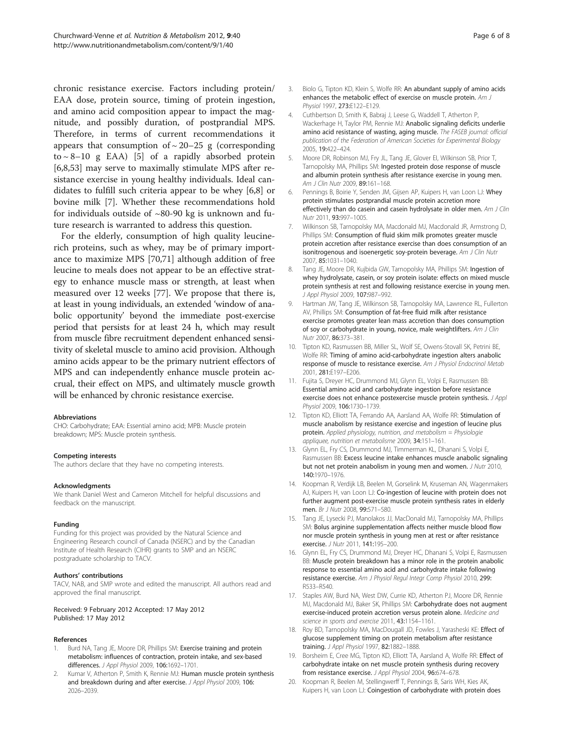<span id="page-5-0"></span>chronic resistance exercise. Factors including protein/ EAA dose, protein source, timing of protein ingestion, and amino acid composition appear to impact the magnitude, and possibly duration, of postprandial MPS. Therefore, in terms of current recommendations it appears that consumption of  $\sim$  20–25 g (corresponding to  $\sim$  8–10 g EAA) [5] of a rapidly absorbed protein [6,8,[53\]](#page-6-0) may serve to maximally stimulate MPS after resistance exercise in young healthy individuals. Ideal candidates to fulfill such criteria appear to be whey [6,8] or bovine milk [7]. Whether these recommendations hold for individuals outside of  $~80-90$  kg is unknown and future research is warranted to address this question.

For the elderly, consumption of high quality leucinerich proteins, such as whey, may be of primary importance to maximize MPS [\[70,71](#page-7-0)] although addition of free leucine to meals does not appear to be an effective strategy to enhance muscle mass or strength, at least when measured over 12 weeks [\[77](#page-7-0)]. We propose that there is, at least in young individuals, an extended 'window of anabolic opportunity' beyond the immediate post-exercise period that persists for at least 24 h, which may result from muscle fibre recruitment dependent enhanced sensitivity of skeletal muscle to amino acid provision. Although amino acids appear to be the primary nutrient effectors of MPS and can independently enhance muscle protein accrual, their effect on MPS, and ultimately muscle growth will be enhanced by chronic resistance exercise.

#### Abbreviations

CHO: Carbohydrate; EAA: Essential amino acid; MPB: Muscle protein breakdown; MPS: Muscle protein synthesis.

#### Competing interests

The authors declare that they have no competing interests.

#### Acknowledgments

We thank Daniel West and Cameron Mitchell for helpful discussions and feedback on the manuscript.

#### Funding

Funding for this project was provided by the Natural Science and Engineering Research council of Canada (NSERC) and by the Canadian Institute of Health Research (CIHR) grants to SMP and an NSERC postgraduate scholarship to TACV.

#### Authors' contributions

TACV, NAB, and SMP wrote and edited the manuscript. All authors read and approved the final manuscript.

#### Received: 9 February 2012 Accepted: 17 May 2012 Published: 17 May 2012

#### References

- Burd NA, Tang JE, Moore DR, Phillips SM: Exercise training and protein metabolism: influences of contraction, protein intake, and sex-based differences. J Appl Physiol 2009, 106:1692–1701.
- Kumar V, Atherton P, Smith K, Rennie MJ: Human muscle protein synthesis and breakdown during and after exercise. J Appl Physiol 2009, 106: 2026–2039.
- Biolo G, Tipton KD, Klein S, Wolfe RR: An abundant supply of amino acids enhances the metabolic effect of exercise on muscle protein. Am J Physiol 1997, 273:E122–E129.
- 4. Cuthbertson D, Smith K, Babraj J, Leese G, Waddell T, Atherton P, Wackerhage H, Taylor PM, Rennie MJ: Anabolic signaling deficits underlie amino acid resistance of wasting, aging muscle. The FASEB journal: official publication of the Federation of American Societies for Experimental Biology 2005, 19:422–424.
- 5. Moore DR, Robinson MJ, Fry JL, Tang JE, Glover EI, Wilkinson SB, Prior T, Tarnopolsky MA, Phillips SM: Ingested protein dose response of muscle and albumin protein synthesis after resistance exercise in young men. Am J Clin Nutr 2009, 89:161–168.
- 6. Pennings B, Boirie Y, Senden JM, Gijsen AP, Kuipers H, van Loon LJ: Whey protein stimulates postprandial muscle protein accretion more effectively than do casein and casein hydrolysate in older men. Am J Clin Nutr 2011, 93:997–1005.
- 7. Wilkinson SB, Tarnopolsky MA, Macdonald MJ, Macdonald JR, Armstrong D, Phillips SM: Consumption of fluid skim milk promotes greater muscle protein accretion after resistance exercise than does consumption of an isonitrogenous and isoenergetic soy-protein beverage. Am J Clin Nutr 2007, 85:1031–1040.
- 8. Tang JE, Moore DR, Kujbida GW, Tarnopolsky MA, Phillips SM: Ingestion of whey hydrolysate, casein, or soy protein isolate: effects on mixed muscle protein synthesis at rest and following resistance exercise in young men. J Appl Physiol 2009, 107:987–992.
- 9. Hartman JW, Tang JE, Wilkinson SB, Tarnopolsky MA, Lawrence RL, Fullerton AV, Phillips SM: Consumption of fat-free fluid milk after resistance exercise promotes greater lean mass accretion than does consumption of soy or carbohydrate in young, novice, male weightlifters. Am J Clin Nutr 2007, 86:373–381.
- 10. Tipton KD, Rasmussen BB, Miller SL, Wolf SE, Owens-Stovall SK, Petrini BE, Wolfe RR: Timing of amino acid-carbohydrate ingestion alters anabolic response of muscle to resistance exercise. Am J Physiol Endocrinol Metab 2001, 281:E197–E206.
- 11. Fujita S, Dreyer HC, Drummond MJ, Glynn EL, Volpi E, Rasmussen BB: Essential amino acid and carbohydrate ingestion before resistance exercise does not enhance postexercise muscle protein synthesis. J Appl Physiol 2009, 106:1730–1739.
- 12. Tipton KD, Elliott TA, Ferrando AA, Aarsland AA, Wolfe RR: Stimulation of muscle anabolism by resistance exercise and ingestion of leucine plus protein. Applied physiology, nutrition, and metabolism = Physiologie appliquee, nutrition et metabolisme 2009, 34:151–161.
- 13. Glynn EL, Fry CS, Drummond MJ, Timmerman KL, Dhanani S, Volpi E, Rasmussen BB: Excess leucine intake enhances muscle anabolic signaling but not net protein anabolism in young men and women. J Nutr 2010, 140:1970–1976.
- 14. Koopman R, Verdijk LB, Beelen M, Gorselink M, Kruseman AN, Wagenmakers AJ, Kuipers H, van Loon LJ: Co-ingestion of leucine with protein does not further augment post-exercise muscle protein synthesis rates in elderly men. Br J Nutr 2008, 99:571–580.
- 15. Tang JE, Lysecki PJ, Manolakos JJ, MacDonald MJ, Tarnopolsky MA, Phillips SM: Bolus arginine supplementation affects neither muscle blood flow nor muscle protein synthesis in young men at rest or after resistance exercise. J Nutr 2011, 141:195–200.
- 16. Glynn EL, Fry CS, Drummond MJ, Dreyer HC, Dhanani S, Volpi E, Rasmussen BB: Muscle protein breakdown has a minor role in the protein anabolic response to essential amino acid and carbohydrate intake following resistance exercise. Am J Physiol Regul Integr Comp Physiol 2010, 299: R533–R540.
- 17. Staples AW, Burd NA, West DW, Currie KD, Atherton PJ, Moore DR, Rennie MJ, Macdonald MJ, Baker SK, Phillips SM: Carbohydrate does not augment exercise-induced protein accretion versus protein alone. Medicine and science in sports and exercise 2011, 43:1154–1161.
- 18. Roy BD, Tarnopolsky MA, MacDougall JD, Fowles J, Yarasheski KE: Effect of glucose supplement timing on protein metabolism after resistance training. J Appl Physiol 1997, 82:1882–1888.
- 19. Borsheim E, Cree MG, Tipton KD, Elliott TA, Aarsland A, Wolfe RR: Effect of carbohydrate intake on net muscle protein synthesis during recovery from resistance exercise. J Appl Physiol 2004, 96:674-678.
- 20. Koopman R, Beelen M, Stellingwerff T, Pennings B, Saris WH, Kies AK, Kuipers H, van Loon LJ: Coingestion of carbohydrate with protein does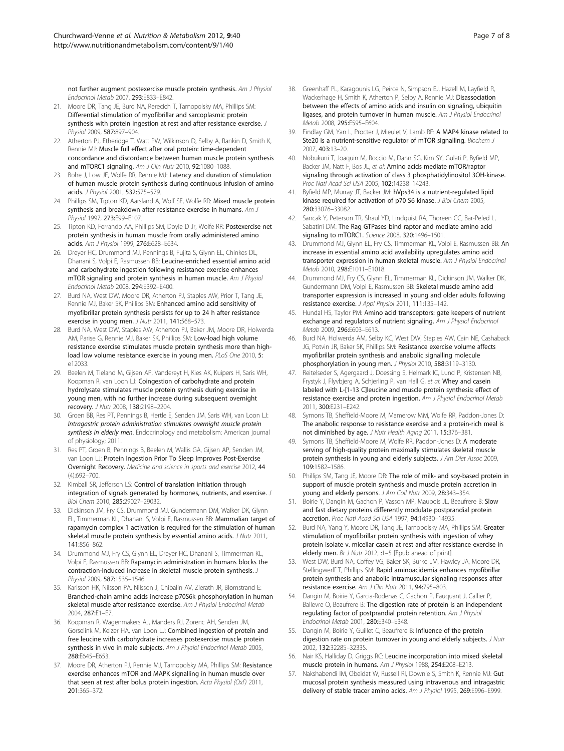<span id="page-6-0"></span>not further augment postexercise muscle protein synthesis. Am J Physiol Endocrinol Metab 2007, 293:E833–E842.

- 21. Moore DR, Tang JE, Burd NA, Rerecich T, Tarnopolsky MA, Phillips SM: Differential stimulation of myofibrillar and sarcoplasmic protein synthesis with protein ingestion at rest and after resistance exercise. J Physiol 2009, 587:897–904.
- 22. Atherton PJ, Etheridge T, Watt PW, Wilkinson D, Selby A, Rankin D, Smith K, Rennie MJ: Muscle full effect after oral protein: time-dependent concordance and discordance between human muscle protein synthesis and mTORC1 signaling. Am J Clin Nutr 2010, 92:1080-1088.
- 23. Bohe J, Low JF, Wolfe RR, Rennie MJ: Latency and duration of stimulation of human muscle protein synthesis during continuous infusion of amino acids. J Physiol 2001, 532:575–579.
- 24. Phillips SM, Tipton KD, Aarsland A, Wolf SE, Wolfe RR: Mixed muscle protein synthesis and breakdown after resistance exercise in humans. Am J Physiol 1997, 273:E99–E107.
- 25. Tipton KD, Ferrando AA, Phillips SM, Doyle D Jr, Wolfe RR: Postexercise net protein synthesis in human muscle from orally administered amino acids. Am J Physiol 1999, 276:E628–E634.
- 26. Dreyer HC, Drummond MJ, Pennings B, Fujita S, Glynn EL, Chinkes DL, Dhanani S, Volpi E, Rasmussen BB: Leucine-enriched essential amino acid and carbohydrate ingestion following resistance exercise enhances mTOR signaling and protein synthesis in human muscle. Am J Physiol Endocrinol Metab 2008, 294:E392–E400.
- 27. Burd NA, West DW, Moore DR, Atherton PJ, Staples AW, Prior T, Tang JE, Rennie MJ, Baker SK, Phillips SM: Enhanced amino acid sensitivity of myofibrillar protein synthesis persists for up to 24 h after resistance exercise in young men. J Nutr 2011, 141:568–573.
- 28. Burd NA, West DW, Staples AW, Atherton PJ, Baker JM, Moore DR, Holwerda AM, Parise G, Rennie MJ, Baker SK, Phillips SM: Low-load high volume resistance exercise stimulates muscle protein synthesis more than highload low volume resistance exercise in young men. PLoS One 2010, 5: e12033.
- 29. Beelen M, Tieland M, Gijsen AP, Vandereyt H, Kies AK, Kuipers H, Saris WH, Koopman R, van Loon LJ: Coingestion of carbohydrate and protein hydrolysate stimulates muscle protein synthesis during exercise in young men, with no further increase during subsequent overnight recovery. J Nutr 2008, 138:2198–2204.
- 30. Groen BB, Res PT, Pennings B, Hertle E, Senden JM, Saris WH, van Loon LJ: Intragastric protein administration stimulates overnight muscle protein synthesis in elderly men. Endocrinology and metabolism: American journal of physiology; 2011.
- 31. Res PT, Groen B, Pennings B, Beelen M, Wallis GA, Gijsen AP, Senden JM, van Loon LJ: Protein Ingestion Prior To Sleep Improves Post-Exercise Overnight Recovery. Medicine and science in sports and exercise 2012, 44 (4):692–700.
- 32. Kimball SR, Jefferson LS: Control of translation initiation through integration of signals generated by hormones, nutrients, and exercise. J Biol Chem 2010, 285:29027–29032.
- 33. Dickinson JM, Fry CS, Drummond MJ, Gundermann DM, Walker DK, Glynn EL, Timmerman KL, Dhanani S, Volpi E, Rasmussen BB: Mammalian target of rapamycin complex 1 activation is required for the stimulation of human skeletal muscle protein synthesis by essential amino acids. J Nutr 2011, 141:856–862.
- 34. Drummond MJ, Fry CS, Glynn EL, Dreyer HC, Dhanani S, Timmerman KL, Volpi E, Rasmussen BB: Rapamycin administration in humans blocks the contraction-induced increase in skeletal muscle protein synthesis. Physiol 2009, 587:1535–1546.
- 35. Karlsson HK, Nilsson PA, Nilsson J, Chibalin AV, Zierath JR, Blomstrand E: Branched-chain amino acids increase p70S6k phosphorylation in human skeletal muscle after resistance exercise. Am J Physiol Endocrinol Metab 2004, 287:E1–E7.
- 36. Koopman R, Wagenmakers AJ, Manders RJ, Zorenc AH, Senden JM, Gorselink M, Keizer HA, van Loon LJ: Combined ingestion of protein and free leucine with carbohydrate increases postexercise muscle protein synthesis in vivo in male subjects. Am J Physiol Endocrinol Metab 2005, 288:E645–E653.
- 37. Moore DR, Atherton PJ, Rennie MJ, Tarnopolsky MA, Phillips SM: Resistance exercise enhances mTOR and MAPK signalling in human muscle over that seen at rest after bolus protein ingestion. Acta Physiol (Oxf) 2011, 201:365–372.
- 38. Greenhaff PL, Karagounis LG, Peirce N, Simpson EJ, Hazell M, Layfield R, Wackerhage H, Smith K, Atherton P, Selby A, Rennie MJ: Disassociation between the effects of amino acids and insulin on signaling, ubiquitin ligases, and protein turnover in human muscle. Am J Physiol Endocrinol Metab 2008, 295:E595–E604.
- 39. Findlay GM, Yan L, Procter J, Mieulet V, Lamb RF: A MAP4 kinase related to Ste20 is a nutrient-sensitive regulator of mTOR signalling. Biochem J 2007, 403:13–20.
- 40. Nobukuni T, Joaquin M, Roccio M, Dann SG, Kim SY, Gulati P, Byfield MP, Backer JM, Natt F, Bos JL, et al: Amino acids mediate mTOR/raptor signaling through activation of class 3 phosphatidylinositol 3OH-kinase. Proc Natl Acad Sci USA 2005, 102:14238–14243.
- 41. Byfield MP, Murray JT, Backer JM: hVps34 is a nutrient-regulated lipid kinase required for activation of p70 S6 kinase. J Biol Chem 2005, 280:33076–33082.
- 42. Sancak Y, Peterson TR, Shaul YD, Lindquist RA, Thoreen CC, Bar-Peled L, Sabatini DM: The Rag GTPases bind raptor and mediate amino acid signaling to mTORC1. Science 2008, 320:1496–1501.
- 43. Drummond MJ, Glynn EL, Fry CS, Timmerman KL, Volpi E, Rasmussen BB: An increase in essential amino acid availability upregulates amino acid transporter expression in human skeletal muscle. Am J Physiol Endocrinol Metab 2010, 298:E1011–E1018.
- 44. Drummond MJ, Fry CS, Glynn EL, Timmerman KL, Dickinson JM, Walker DK, Gundermann DM, Volpi E, Rasmussen BB: Skeletal muscle amino acid transporter expression is increased in young and older adults following resistance exercise. J Appl Physiol 2011, 111:135–142.
- 45. Hundal HS, Taylor PM: Amino acid transceptors: gate keepers of nutrient exchange and regulators of nutrient signaling. Am J Physiol Endocrinol Metab 2009, 296:E603–E613.
- 46. Burd NA, Holwerda AM, Selby KC, West DW, Staples AW, Cain NE, Cashaback JG, Potvin JR, Baker SK, Phillips SM: Resistance exercise volume affects myofibrillar protein synthesis and anabolic signalling molecule phosphorylation in young men. J Physiol 2010, 588:3119–3130.
- 47. Reitelseder S, Agergaard J, Doessing S, Helmark IC, Lund P, Kristensen NB, Frystyk J, Flyvbjerg A, Schjerling P, van Hall G, et al: Whey and casein labeled with L-[1-13 C]leucine and muscle protein synthesis: effect of resistance exercise and protein ingestion. Am J Physiol Endocrinol Metab 2011, 300:E231–E242.
- Symons TB, Sheffield-Moore M, Mamerow MM, Wolfe RR, Paddon-Jones D: The anabolic response to resistance exercise and a protein-rich meal is not diminished by age. J Nutr Health Aging 2011, 15:376–381.
- 49. Symons TB, Sheffield-Moore M, Wolfe RR, Paddon-Jones D: A moderate serving of high-quality protein maximally stimulates skeletal muscle protein synthesis in young and elderly subjects. J Am Diet Assoc 2009, 109:1582–1586.
- 50. Phillips SM, Tang JE, Moore DR: The role of milk- and soy-based protein in support of muscle protein synthesis and muscle protein accretion in young and elderly persons. J Am Coll Nutr 2009, 28:343–354.
- 51. Boirie Y, Dangin M, Gachon P, Vasson MP, Maubois JL, Beaufrere B: Slow and fast dietary proteins differently modulate postprandial protein accretion. Proc Natl Acad Sci USA 1997, 94:14930–14935.
- 52. Burd NA, Yang Y, Moore DR, Tang JE, Tarnopolsky MA, Phillips SM: Greater stimulation of myofibrillar protein synthesis with ingestion of whey protein isolate v. micellar casein at rest and after resistance exercise in elderly men. Br J Nutr 2012, :1-5 [Epub ahead of print].
- 53. West DW, Burd NA, Coffey VG, Baker SK, Burke LM, Hawley JA, Moore DR, Stellingwerff T, Phillips SM: Rapid aminoacidemia enhances myofibrillar protein synthesis and anabolic intramuscular signaling responses after resistance exercise. Am J Clin Nutr 2011, 94:795–803.
- 54. Dangin M, Boirie Y, Garcia-Rodenas C, Gachon P, Fauquant J, Callier P, Ballevre O, Beaufrere B: The digestion rate of protein is an independent regulating factor of postprandial protein retention. Am J Physiol Endocrinol Metab 2001, 280:E340–E348.
- 55. Dangin M, Boirie Y, Guillet C, Beaufrere B: Influence of the protein digestion rate on protein turnover in young and elderly subjects. J Nutr 2002, 132:3228S–3233S.
- 56. Nair KS, Halliday D, Griggs RC: Leucine incorporation into mixed skeletal muscle protein in humans. Am J Physiol 1988, 254:E208–E213.
- 57. Nakshabendi IM, Obeidat W, Russell RI, Downie S, Smith K, Rennie MJ: Gut mucosal protein synthesis measured using intravenous and intragastric delivery of stable tracer amino acids. Am J Physiol 1995, 269:E996–E999.